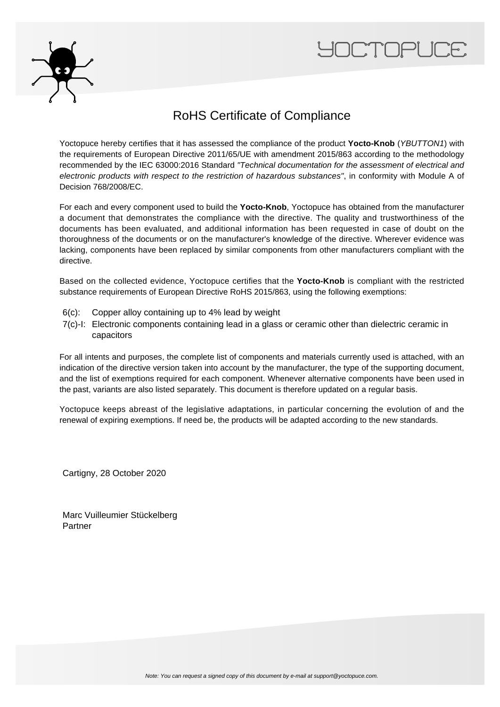



## RoHS Certificate of Compliance

Yoctopuce hereby certifies that it has assessed the compliance of the product **Yocto-Knob** (YBUTTON1) with the requirements of European Directive 2011/65/UE with amendment 2015/863 according to the methodology recommended by the IEC 63000:2016 Standard "Technical documentation for the assessment of electrical and electronic products with respect to the restriction of hazardous substances", in conformity with Module A of Decision 768/2008/EC.

For each and every component used to build the **Yocto-Knob**, Yoctopuce has obtained from the manufacturer a document that demonstrates the compliance with the directive. The quality and trustworthiness of the documents has been evaluated, and additional information has been requested in case of doubt on the thoroughness of the documents or on the manufacturer's knowledge of the directive. Wherever evidence was lacking, components have been replaced by similar components from other manufacturers compliant with the directive.

Based on the collected evidence, Yoctopuce certifies that the **Yocto-Knob** is compliant with the restricted substance requirements of European Directive RoHS 2015/863, using the following exemptions:

- 6(c): Copper alloy containing up to 4% lead by weight
- 7(c)-I: Electronic components containing lead in a glass or ceramic other than dielectric ceramic in capacitors

For all intents and purposes, the complete list of components and materials currently used is attached, with an indication of the directive version taken into account by the manufacturer, the type of the supporting document, and the list of exemptions required for each component. Whenever alternative components have been used in the past, variants are also listed separately. This document is therefore updated on a regular basis.

Yoctopuce keeps abreast of the legislative adaptations, in particular concerning the evolution of and the renewal of expiring exemptions. If need be, the products will be adapted according to the new standards.

Cartigny, 28 October 2020

Marc Vuilleumier Stückelberg Partner